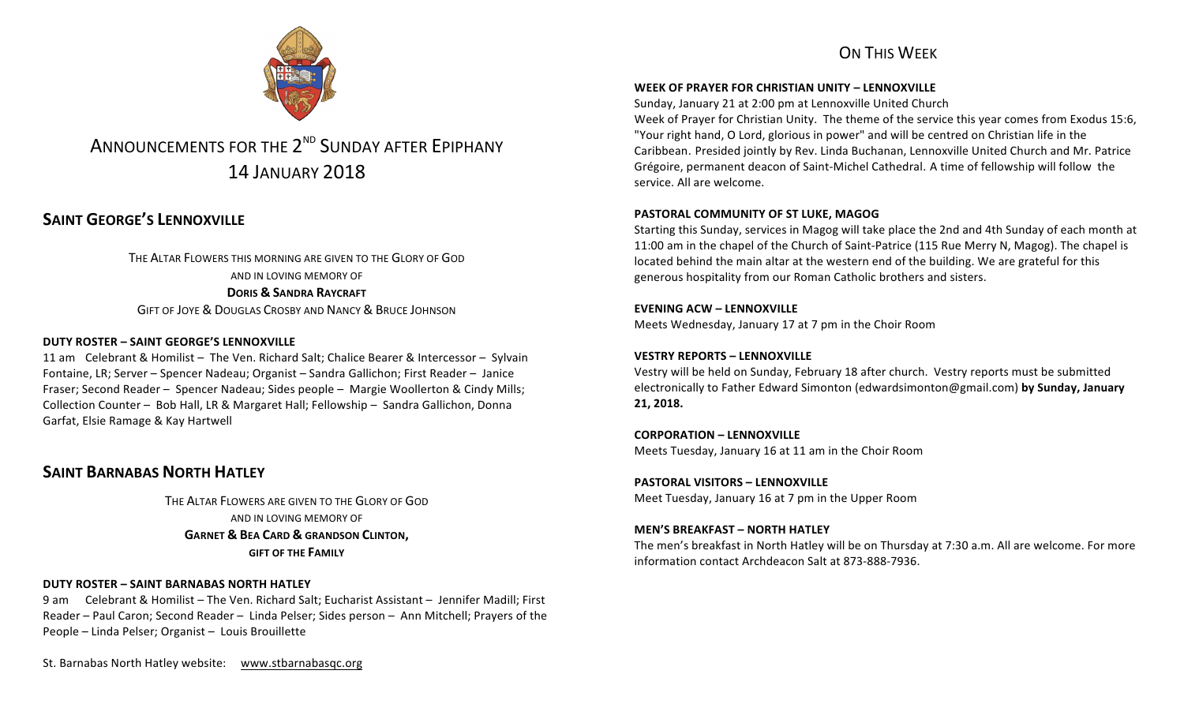## ON THIS WEEK



# ANNOUNCEMENTS FOR THE 2<sup>ND</sup> SUNDAY AFTER EPIPHANY 14 JANUARY 2018

# **SAINT GEORGE'S LENNOXVILLE**

THE ALTAR FLOWERS THIS MORNING ARE GIVEN TO THE GLORY OF GOD AND IN LOVING MEMORY OF **DORIS & SANDRA RAYCRAFT** GIFT OF JOYE & DOUGLAS CROSBY AND NANCY & BRUCE JOHNSON

#### **DUTY ROSTER – SAINT GEORGE'S LENNOXVILLE**

11 am Celebrant & Homilist - The Ven. Richard Salt; Chalice Bearer & Intercessor - Sylvain Fontaine, LR; Server – Spencer Nadeau; Organist – Sandra Gallichon; First Reader – Janice Fraser; Second Reader – Spencer Nadeau; Sides people – Margie Woollerton & Cindy Mills; Collection Counter - Bob Hall, LR & Margaret Hall; Fellowship - Sandra Gallichon, Donna Garfat, Elsie Ramage & Kay Hartwell

## **SAINT BARNABAS NORTH HATLEY**

THE ALTAR FLOWERS ARE GIVEN TO THE GLORY OF GOD AND IN LOVING MEMORY OF **GARNET & BEA CARD & GRANDSON CLINTON, GIFT OF THE FAMILY** 

#### **DUTY ROSTER – SAINT BARNABAS NORTH HATLEY**

9 am Celebrant & Homilist – The Ven. Richard Salt: Eucharist Assistant – Jennifer Madill: First Reader – Paul Caron; Second Reader – Linda Pelser; Sides person – Ann Mitchell; Prayers of the People - Linda Pelser; Organist - Louis Brouillette

St. Barnabas North Hatley website: www.stbarnabasqc.org

#### **WEEK OF PRAYER FOR CHRISTIAN UNITY – LENNOXVILLE**

Sunday, January 21 at 2:00 pm at Lennoxville United Church

Week of Prayer for Christian Unity. The theme of the service this year comes from Exodus 15:6, "Your right hand, O Lord, glorious in power" and will be centred on Christian life in the Caribbean. Presided jointly by Rev. Linda Buchanan, Lennoxville United Church and Mr. Patrice Grégoire, permanent deacon of Saint-Michel Cathedral. A time of fellowship will follow the service. All are welcome.

#### **PASTORAL COMMUNITY OF ST LUKE, MAGOG**

Starting this Sunday, services in Magog will take place the 2nd and 4th Sunday of each month at 11:00 am in the chapel of the Church of Saint-Patrice (115 Rue Merry N, Magog). The chapel is located behind the main altar at the western end of the building. We are grateful for this generous hospitality from our Roman Catholic brothers and sisters.

#### **EVENING ACW – LENNOXVILLE**

Meets Wednesday, January 17 at 7 pm in the Choir Room

#### **VESTRY REPORTS – LENNOXVILLE**

Vestry will be held on Sunday, February 18 after church. Vestry reports must be submitted electronically to Father Edward Simonton (edwardsimonton@gmail.com) by Sunday, January **21, 2018.**

**CORPORATION - LENNOXVILLE** Meets Tuesday, January 16 at 11 am in the Choir Room

**PASTORAL VISITORS – LENNOXVILLE** Meet Tuesday, January 16 at 7 pm in the Upper Room

#### **MEN'S BREAKFAST – NORTH HATLEY**

The men's breakfast in North Hatley will be on Thursday at 7:30 a.m. All are welcome. For more information contact Archdeacon Salt at 873-888-7936.